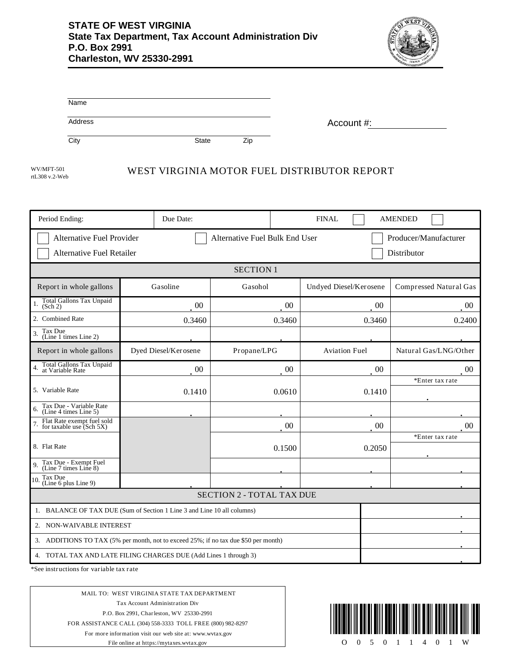

| Name    |              |     |            |
|---------|--------------|-----|------------|
| Address |              |     | Account #: |
| City    | <b>State</b> | Zip |            |

rtL308 v.2-Web

# WUMFT-501 WEST VIRGINIA MOTOR FUEL DISTRIBUTOR REPORT

| Period Ending:                                                                      | Due Date:            |                  | <b>FINAL</b>           | <b>AMENDED</b>         |
|-------------------------------------------------------------------------------------|----------------------|------------------|------------------------|------------------------|
| Alternative Fuel Provider<br>Alternative Fuel Bulk End User                         |                      |                  | Producer/Manufacturer  |                        |
| <b>Alternative Fuel Retailer</b><br>Distributor                                     |                      |                  |                        |                        |
|                                                                                     |                      | <b>SECTION 1</b> |                        |                        |
| Report in whole gallons                                                             | Gasoline             | Gasohol          | Undyed Diesel/Kerosene | Compressed Natural Gas |
| Total Gallons Tax Unpaid<br>(Sch 2)                                                 | 00                   | 00               | $00\,$                 | 00                     |
| 2. Combined Rate                                                                    | 0.3460               | 0.3460           | 0.3460                 | 0.2400                 |
| Tax Due<br>(Line 1 times Line 2)                                                    |                      |                  |                        |                        |
| Report in whole gallons                                                             | Dyed Diesel/Kerosene | Propane/LPG      | <b>Aviation Fuel</b>   | Natural Gas/LNG/Other  |
| Total Gallons Tax Unpaid<br>at Variable Rate                                        | $00\,$               | $00\,$           | $00\,$                 | $00\,$                 |
| 5. Variable Rate                                                                    | 0.1410               | 0.0610           | 0.1410                 | *Enter tax rate        |
| Tax Due - Variable Rate<br>(Line 4 times Line 5)<br>6.                              |                      |                  |                        |                        |
| Flat Rate exempt fuel sold<br>for taxable use (Sch 5X)                              |                      | $00\,$           | 00                     | 00                     |
| 8. Flat Rate                                                                        |                      | 0.1500           | 0.2050                 | *Enter tax rate        |
| Tax Due - Exempt Fuel<br>(Line 7 times Line 8)<br>9.                                |                      |                  |                        |                        |
| Tax Due<br>10<br>(Line 6 plus Line 9)                                               |                      |                  |                        |                        |
| <b>SECTION 2 - TOTAL TAX DUE</b>                                                    |                      |                  |                        |                        |
| 1. BALANCE OF TAX DUE (Sum of Section 1 Line 3 and Line 10 all columns)             |                      |                  |                        |                        |
| 2. NON-WAIVABLE INTEREST                                                            |                      |                  |                        |                        |
| 3. ADDITIONS TO TAX (5% per month, not to exceed 25%; if no tax due \$50 per month) |                      |                  |                        |                        |
| 4. TOTAL TAX AND LATE FILING CHARGES DUE (Add Lines 1 through 3)                    |                      |                  |                        |                        |

\*See instructions for variable tax rate

MAIL TO: WEST VIRGINIA STATE TAX DEPARTMENT Tax Account Administration Div P.O. Box 2991, Charleston, WV 25330-2991 FOR ASSISTANCE CALL (304) 558-3333 TOLL FREE (800) 982-8297 For more information visit our web site at: www.wvtax.gov File online at https://mytaxes.wvtax.gov

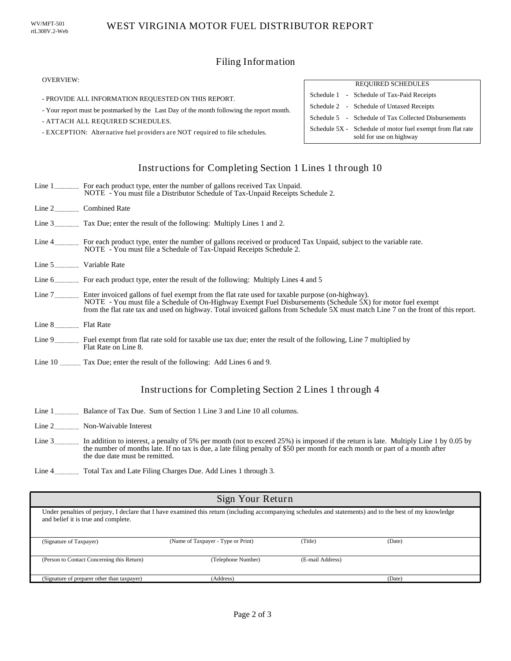# Filing Information

#### OVERVIEW:

- PROVIDE ALL INFORMATION REQUESTED ON THIS REPORT.
- Your report must be postmarked by the Last Day of the month following the report month.
- ATTACH ALL REQUIRED SCHEDULES.
- EXCEPTION: Alternative fuel providers are NOT required to file schedules.

#### REQUIRED SCHEDULES Schedule 1 - Schedule of Tax-Paid Receipts Schedule 5 - Schedule of Tax Collected Disbursements Schedule 2 - Schedule of Untaxed Receipts Schedule 5X - Schedule of motor fuel exempt from flat rate sold for use on highway

# Instructions for Completing Section 1 Lines 1 through 10

|                      | Line 1 For each product type, enter the number of gallons received Tax Unpaid.<br>NOTE - You must file a Distributor Schedule of Tax-Unpaid Receipts Schedule 2.                                                                                                                                                                                            |
|----------------------|-------------------------------------------------------------------------------------------------------------------------------------------------------------------------------------------------------------------------------------------------------------------------------------------------------------------------------------------------------------|
|                      | Line 2 Combined Rate                                                                                                                                                                                                                                                                                                                                        |
|                      | Line 3 Tax Due; enter the result of the following: Multiply Lines 1 and 2.                                                                                                                                                                                                                                                                                  |
|                      | Line 4 For each product type, enter the number of gallons received or produced Tax Unpaid, subject to the variable rate.<br>NOTE - You must file a Schedule of Tax-Unpaid Receipts Schedule 2.                                                                                                                                                              |
| Line 5 Variable Rate |                                                                                                                                                                                                                                                                                                                                                             |
|                      | Line 6 For each product type, enter the result of the following: Multiply Lines 4 and 5                                                                                                                                                                                                                                                                     |
|                      | Line 7 Enter invoiced gallons of fuel exempt from the flat rate used for taxable purpose (on-highway).<br>NOTE - You must file a Schedule of On-Highway Exempt Fuel Disbursements (Schedule 5X) for motor fuel exempt<br>from the flat rate tax and used on highway. Total invoiced gallons from Schedule 5X must match Line 7 on the front of this report. |
| Line 8 Flat Rate     |                                                                                                                                                                                                                                                                                                                                                             |
|                      | Line 9 Fuel exempt from flat rate sold for taxable use tax due; enter the result of the following, Line 7 multiplied by<br>Flat Rate on Line 8.                                                                                                                                                                                                             |

Line 10 Tax Due; enter the result of the following: Add Lines 6 and 9.

### Instructions for Completing Section 2 Lines 1 through 4

- Line 1 **Balance of Tax Due.** Sum of Section 1 Line 3 and Line 10 all columns.
- Line 2 \_\_\_\_\_\_\_\_\_\_\_\_\_\_\_ Non-Waivable Interest
- Line 3 In addition to interest, a penalty of 5% per month (not to exceed 25%) is imposed if the return is late. Multiply Line 1 by 0.05 by the number of months late. If no tax is due, a late filing penalty of \$50 per month for each month or part of a month after the due date must be remitted.
- Line 4 Total Tax and Late Filing Charges Due. Add Lines 1 through 3.

| Sign Your Return                                                                                                                                                                                |                                    |                  |        |
|-------------------------------------------------------------------------------------------------------------------------------------------------------------------------------------------------|------------------------------------|------------------|--------|
| Under penalties of perjury, I declare that I have examined this return (including accompanying schedules and statements) and to the best of my knowledge<br>and belief it is true and complete. |                                    |                  |        |
| (Signature of Taxpayer)                                                                                                                                                                         | (Name of Taxpayer - Type or Print) | (Title)          | (Date) |
| (Person to Contact Concerning this Return)                                                                                                                                                      | (Telephone Number)                 | (E-mail Address) |        |
| (Signature of preparer other than taxpayer)                                                                                                                                                     | (Address)                          |                  | (Date) |